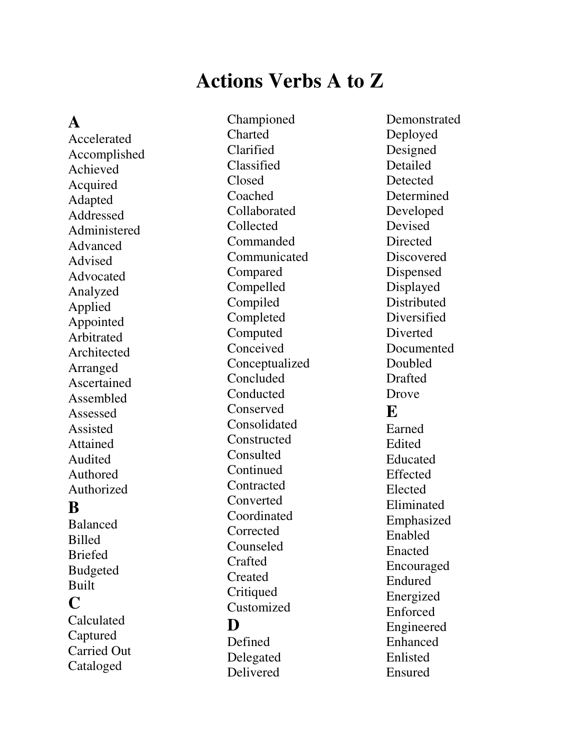## **Actions Verbs A to Z**

**A** 

Accelerated Accomplished Achieved Acquired Adapted Addressed Administered Advanced Advised Advocated Analyzed Applied Appointed Arbitrated Architected Arranged Ascertained Assembled Assessed Assisted Attained Audited Authored Authorized **B**  Balanced Billed Briefed Budgeted Built

**C** 

Calculated Captured Carried Out Cataloged

Championed Charted Clarified Classified Closed Coached Collaborated Collected Commanded Communicated Compared Compelled Compiled Completed Computed Conceived Conceptualized Concluded Conducted Conserved Consolidated **Constructed Consulted Continued Contracted** Converted Coordinated **Corrected** Counseled Crafted Created **Critiqued** Customized **D**  Defined Delegated

Delivered

Demonstrated Deployed Designed Detailed **Detected** Determined Developed Devised **Directed Discovered** Dispensed Displayed **Distributed Diversified** Diverted **Documented** Doubled Drafted Drove **E**  Earned Edited Educated Effected Elected Eliminated Emphasized Enabled Enacted Encouraged Endured Energized Enforced Engineered Enhanced Enlisted Ensured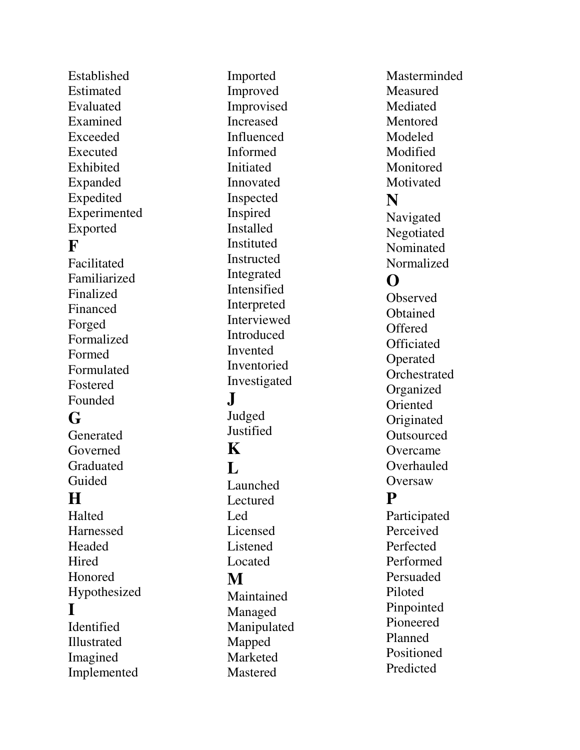Established Estimated Evaluated Examined Exceeded Executed Exhibited Expanded Expedited Experimented Exported **F**  Facilitated Familiarized Finalized Financed Forged Formalized Formed Formulated Fostered Founded **G Generated** Governed Graduated Guided **H**  Halted Harnessed Headed **Hired** Honored Hypothesized **I**  Identified Illustrated Imagined Implemented

Imported Improved Improvised Increased Influenced Informed Initiated Innovated Inspected Inspired Installed Instituted Instructed Integrated Intensified Interpreted **Interviewed** Introduced Invented Inventoried Investigated **J**  Judged **Justified K**   $\mathbf{L}$ Launched Lectured Led Licensed Listened Located **M**  Maintained Managed Manipulated Mapped Marketed Mastered

Masterminded **Measured Mediated Mentored** Modeled Modified **Monitored Motivated N**  Navigated Negotiated Nominated Normalized **O**  Observed **O**btained **Offered Officiated** Operated **Orchestrated** Organized Oriented Originated **Outsourced Overcame Overhauled Oversaw P**  Participated Perceived Perfected Performed Persuaded Piloted Pinpointed Pioneered Planned Positioned Predicted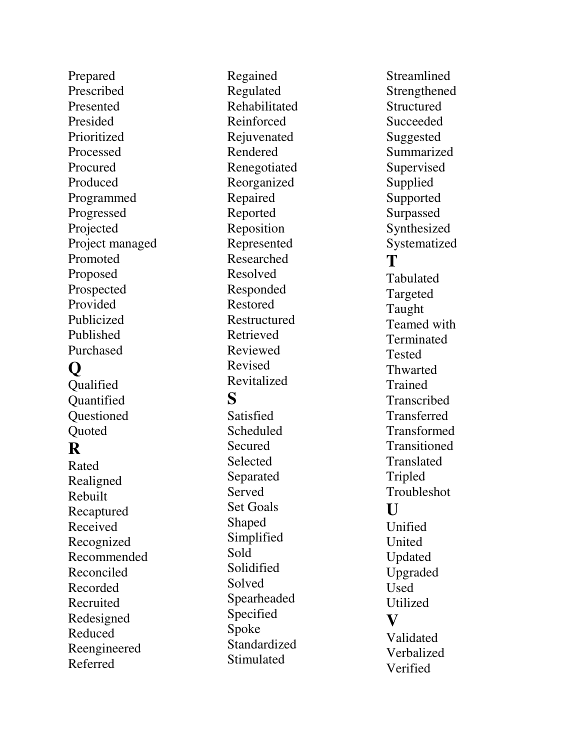Prepared Prescribed Presented Presided Prioritized Processed Procured Produced Programmed Progressed Projected Project managed Promoted Proposed Prospected Provided Publicized Published Purchased

## **Q**

**Oualified Quantified Ouestioned Quoted** 

## **R**

Rated Realigned Rebuilt Recaptured Received Recognized Recommended Reconciled Recorded Recruited Redesigned Reduced Reengineered Referred

Regained Regulated Rehabilitated Reinforced Rejuvenated Rendered Renegotiated Reorganized Repaired Reported Reposition Represented Researched Resolved Responded Restored Restructured Retrieved Reviewed Revised Revitalized **S Satisfied** Scheduled Secured Selected Separated Served Set Goals Shaped Simplified Sold Solidified Solved Spearheaded Specified Spoke

Standardized **Stimulated** 

Streamlined Strengthened **Structured Succeeded** Suggested Summarized **Supervised** Supplied Supported Surpassed Synthesized Systematized **T**  Tabulated Targeted Taught Teamed with Terminated **Tested Thwarted** Trained **Transcribed Transferred** Transformed Transitioned Translated Tripled Troubleshot **U**  Unified United Updated Upgraded Used Utilized **V**  Validated Verbalized Verified